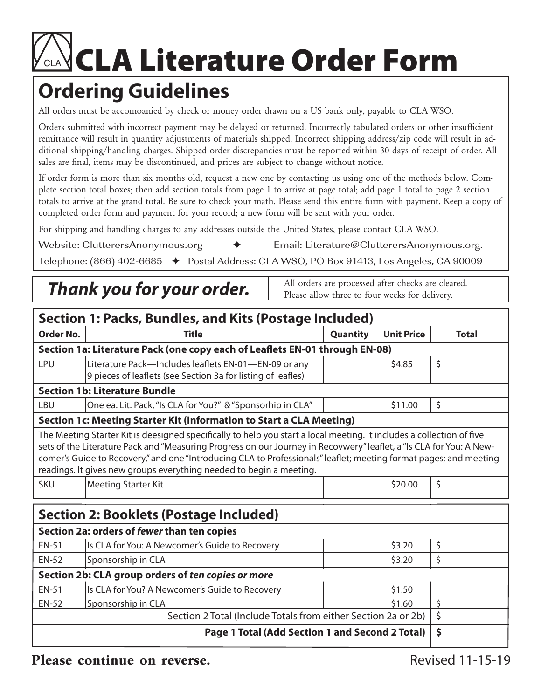## **CLA Literature Order Form**

## **Ordering Guidelines**

All orders must be accomoanied by check or money order drawn on a US bank only, payable to CLA WSO.

Orders submitted with incorrect payment may be delayed or returned. Incorrectly tabulated orders or other insufficient remittance will result in quantity adjustments of materials shipped. Incorrect shipping address/zip code will result in additional shipping/handling charges. Shipped order discrepancies must be reported within 30 days of receipt of order. All sales are final, items may be discontinued, and prices are subject to change without notice.

If order form is more than six months old, request a new one by contacting us using one of the methods below. Complete section total boxes; then add section totals from page 1 to arrive at page total; add page 1 total to page 2 section totals to arrive at the grand total. Be sure to check your math. Please send this entire form with payment. Keep a copy of completed order form and payment for your record; a new form will be sent with your order.

For shipping and handling charges to any addresses outside the United States, please contact CLA WSO.

Website: ClutterersAnonymous.org  $\begin{array}{ccc} \leftrightarrow & \text{Email:} \text{ Literature@Clusterershonymous.org.} \end{array}$ 

Telephone:  $(866)$  402-6685  $\leftrightarrow$  Postal Address: CLA WSO, PO Box 91413, Los Angeles, CA 90009

## **Thank you for your order.**  $\parallel$  All orders are processed after checks are cleared.

Please allow three to four weeks for delivery.

| <b>Section 1: Packs, Bundles, and Kits (Postage Included)</b>                                                                                                                                                                                                                                                                                                                                                                            |                                                                                                                      |                 |                   |              |  |  |  |  |
|------------------------------------------------------------------------------------------------------------------------------------------------------------------------------------------------------------------------------------------------------------------------------------------------------------------------------------------------------------------------------------------------------------------------------------------|----------------------------------------------------------------------------------------------------------------------|-----------------|-------------------|--------------|--|--|--|--|
| Order No.                                                                                                                                                                                                                                                                                                                                                                                                                                | <b>Title</b>                                                                                                         | <b>Quantity</b> | <b>Unit Price</b> | <b>Total</b> |  |  |  |  |
| Section 1a: Literature Pack (one copy each of Leaflets EN-01 through EN-08)                                                                                                                                                                                                                                                                                                                                                              |                                                                                                                      |                 |                   |              |  |  |  |  |
| <b>LPU</b>                                                                                                                                                                                                                                                                                                                                                                                                                               | Literature Pack-Includes leaflets EN-01-EN-09 or any<br>9 pieces of leaflets (see Section 3a for listing of leafles) |                 | \$4.85            | \$           |  |  |  |  |
| <b>Section 1b: Literature Bundle</b>                                                                                                                                                                                                                                                                                                                                                                                                     |                                                                                                                      |                 |                   |              |  |  |  |  |
| <b>LBU</b>                                                                                                                                                                                                                                                                                                                                                                                                                               | One ea. Lit. Pack, "Is CLA for You?" & "Sponsorhip in CLA"                                                           |                 | \$11.00           | \$           |  |  |  |  |
| Section 1c: Meeting Starter Kit (Information to Start a CLA Meeting)                                                                                                                                                                                                                                                                                                                                                                     |                                                                                                                      |                 |                   |              |  |  |  |  |
| The Meeting Starter Kit is deesigned specifically to help you start a local meeting. It includes a collection of five<br>sets of the Literature Pack and "Measuring Progress on our Journey in Recovwery" leaflet, a "Is CLA for You: A New-<br>comer's Guide to Recovery," and one "Introducing CLA to Professionals" leaflet; meeting format pages; and meeting<br>readings. It gives new groups everything needed to begin a meeting. |                                                                                                                      |                 |                   |              |  |  |  |  |
| <b>SKU</b>                                                                                                                                                                                                                                                                                                                                                                                                                               | <b>Meeting Starter Kit</b>                                                                                           |                 | \$20.00           | \$           |  |  |  |  |
| <b>Section 2: Booklets (Postage Included)</b>                                                                                                                                                                                                                                                                                                                                                                                            |                                                                                                                      |                 |                   |              |  |  |  |  |
| Section 2a: orders of fewer than ten copies                                                                                                                                                                                                                                                                                                                                                                                              |                                                                                                                      |                 |                   |              |  |  |  |  |
| <b>EN-51</b>                                                                                                                                                                                                                                                                                                                                                                                                                             | Is CLA for You: A Newcomer's Guide to Recovery                                                                       |                 | \$3.20            | \$           |  |  |  |  |
| <b>EN-52</b>                                                                                                                                                                                                                                                                                                                                                                                                                             | Sponsorship in CLA                                                                                                   |                 | \$3.20            | \$           |  |  |  |  |
| Section 2b: CLA group orders of ten copies or more                                                                                                                                                                                                                                                                                                                                                                                       |                                                                                                                      |                 |                   |              |  |  |  |  |
| <b>EN-51</b>                                                                                                                                                                                                                                                                                                                                                                                                                             | Is CLA for You? A Newcomer's Guide to Recovery                                                                       |                 | \$1.50            |              |  |  |  |  |
| <b>EN-52</b>                                                                                                                                                                                                                                                                                                                                                                                                                             | Sponsorship in CLA<br>Section 2 Total (Include Totals from either Section 2a or 2b)                                  |                 | \$1.60            | \$           |  |  |  |  |
|                                                                                                                                                                                                                                                                                                                                                                                                                                          | $\zeta$                                                                                                              |                 |                   |              |  |  |  |  |
|                                                                                                                                                                                                                                                                                                                                                                                                                                          | $\dot{\mathsf{S}}$                                                                                                   |                 |                   |              |  |  |  |  |